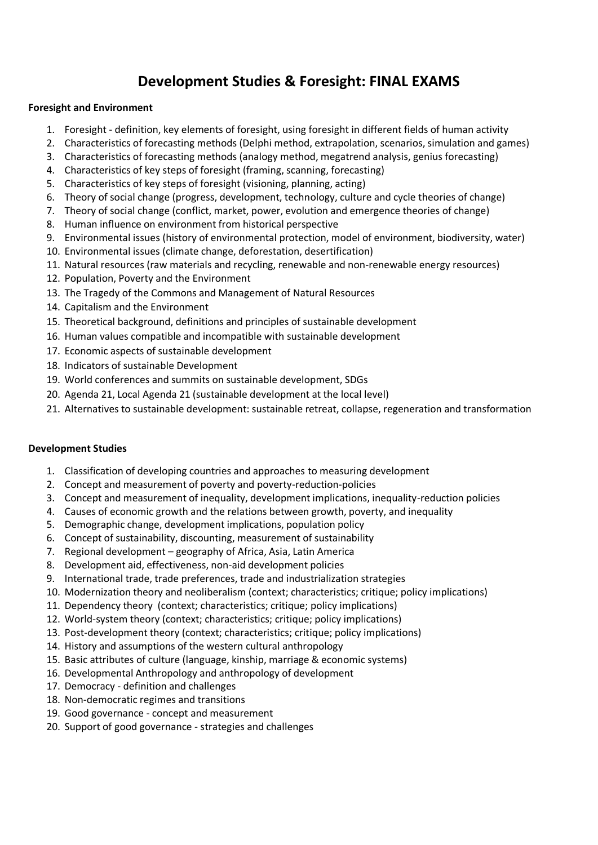# **Development Studies & Foresight: FINAL EXAMS**

## **Foresight and Environment**

- 1. Foresight definition, key elements of foresight, using foresight in different fields of human activity
- 2. Characteristics of forecasting methods (Delphi method, extrapolation, scenarios, simulation and games)
- 3. Characteristics of forecasting methods (analogy method, megatrend analysis, genius forecasting)
- 4. Characteristics of key steps of foresight (framing, scanning, forecasting)
- 5. Characteristics of key steps of foresight (visioning, planning, acting)
- 6. Theory of social change (progress, development, technology, culture and cycle theories of change)
- 7. Theory of social change (conflict, market, power, evolution and emergence theories of change)
- 8. Human influence on environment from historical perspective
- 9. Environmental issues (history of environmental protection, model of environment, biodiversity, water)
- 10. Environmental issues (climate change, deforestation, desertification)
- 11. Natural resources (raw materials and recycling, renewable and non-renewable energy resources)
- 12. Population, Poverty and the Environment
- 13. The Tragedy of the Commons and Management of Natural Resources
- 14. Capitalism and the Environment
- 15. Theoretical background, definitions and principles of sustainable development
- 16. Human values compatible and incompatible with sustainable development
- 17. Economic aspects of sustainable development
- 18. Indicators of sustainable Development
- 19. World conferences and summits on sustainable development, SDGs
- 20. Agenda 21, Local Agenda 21 (sustainable development at the local level)
- 21. Alternatives to sustainable development: sustainable retreat, collapse, regeneration and transformation

#### **Development Studies**

- 1. Classification of developing countries and approaches to measuring development
- 2. Concept and measurement of poverty and poverty-reduction-policies
- 3. Concept and measurement of inequality, development implications, inequality-reduction policies
- 4. Causes of economic growth and the relations between growth, poverty, and inequality
- 5. Demographic change, development implications, population policy
- 6. Concept of sustainability, discounting, measurement of sustainability
- 7. Regional development geography of Africa, Asia, Latin America
- 8. Development aid, effectiveness, non-aid development policies
- 9. International trade, trade preferences, trade and industrialization strategies
- 10. Modernization theory and neoliberalism (context; characteristics; critique; policy implications)
- 11. Dependency theory (context; characteristics; critique; policy implications)
- 12. World-system theory (context; characteristics; critique; policy implications)
- 13. Post-development theory (context; characteristics; critique; policy implications)
- 14. History and assumptions of the western cultural anthropology
- 15. Basic attributes of culture (language, kinship, marriage & economic systems)
- 16. Developmental Anthropology and anthropology of development
- 17. Democracy definition and challenges
- 18. Non-democratic regimes and transitions
- 19. Good governance concept and measurement
- 20. Support of good governance strategies and challenges